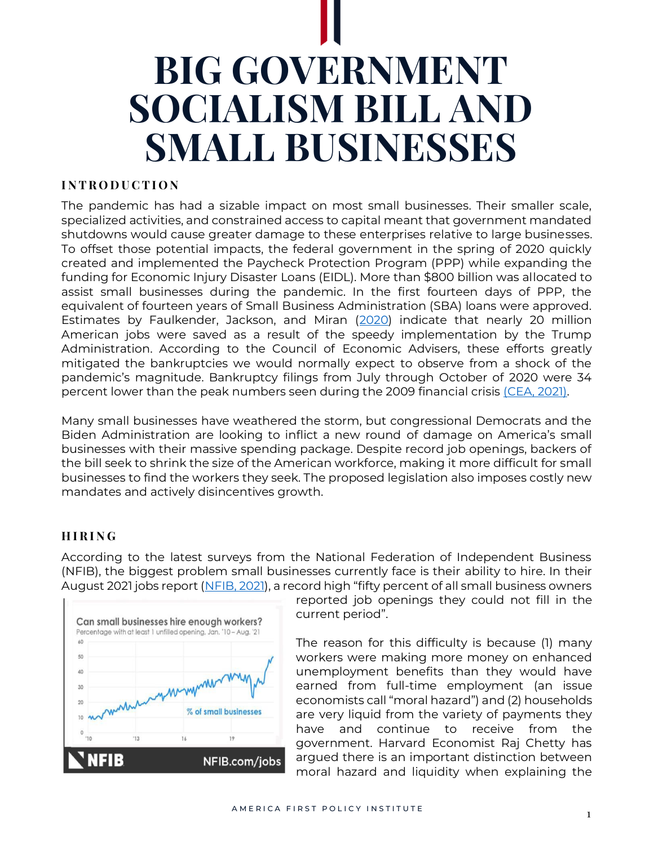# **BIG GOVERNMENT SOCIALISM BILL AND SMALL BUSINESSES**

# **I N T R O D U C T I O N**

The pandemic has had a sizable impact on most small businesses. Their smaller scale, specialized activities, and constrained access to capital meant that government mandated shutdowns would cause greater damage to these enterprises relative to large businesses. To offset those potential impacts, the federal government in the spring of 2020 quickly created and implemented the Paycheck Protection Program (PPP) while expanding the funding for Economic Injury Disaster Loans (EIDL). More than \$800 billion was allocated to assist small businesses during the pandemic. In the first fourteen days of PPP, the equivalent of fourteen years of Small Business Administration (SBA) loans were approved. Estimates by Faulkender, Jackson, and Miran [\(2020\)](https://home.treasury.gov/system/files/226/Job-Preservation-Effects-Paycheck-Protection-Program-Loans.pdf) indicate that nearly 20 million American jobs were saved as a result of the speedy implementation by the Trump Administration. According to the Council of Economic Advisers, these efforts greatly mitigated the bankruptcies we would normally expect to observe from a shock of the pandemic's magnitude. Bankruptcy filings from July through October of 2020 were 34 percent lower than the peak numbers seen during the 2009 financial crisis [\(CEA, 2021\)](https://www.govinfo.gov/content/pkg/ERP-2021/pdf/ERP-2021.pdf).

Many small businesses have weathered the storm, but congressional Democrats and the Biden Administration are looking to inflict a new round of damage on America's small businesses with their massive spending package. Despite record job openings, backers of the bill seek to shrink the size of the American workforce, making it more difficult for small businesses to find the workers they seek. The proposed legislation also imposes costly new mandates and actively disincentives growth.

## **H I R I N G**

According to the latest surveys from the National Federation of Independent Business (NFIB), the biggest problem small businesses currently face is their ability to hire. In their August 2021 jobs report [\(NFIB, 2021](https://www.nfib.com/foundations/research-center/monthly-reports/jobs-report/)), a record high "fifty percent of all small business owners



reported job openings they could not fill in the current period".

The reason for this difficulty is because (1) many workers were making more money on enhanced unemployment benefits than they would have earned from full-time employment (an issue economists call "moral hazard") and (2) households are very liquid from the variety of payments they have and continue to receive from the government. Harvard Economist Raj Chetty has argued there is an important distinction between moral hazard and liquidity when explaining the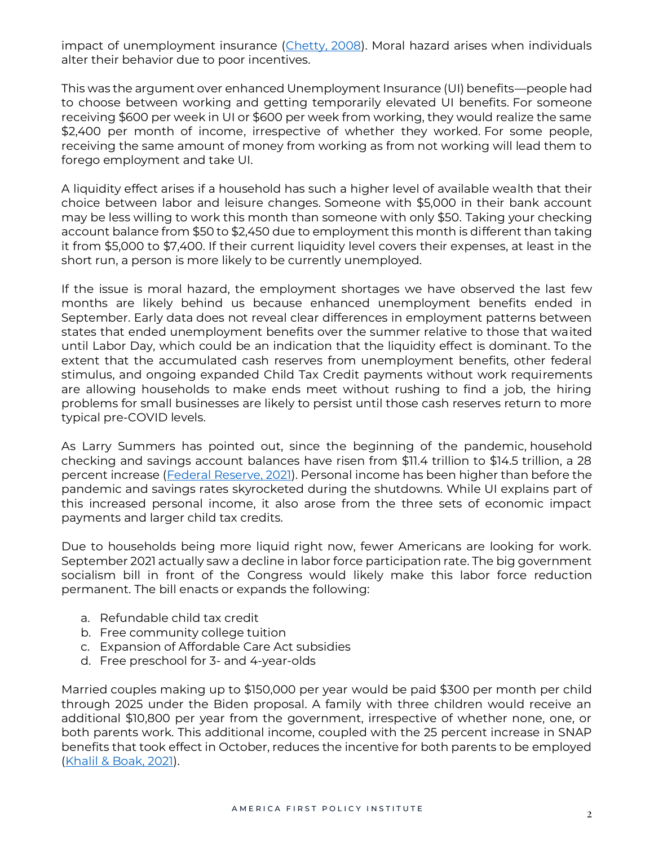impact of unemployment insurance [\(Chetty, 2008\)](https://dash.harvard.edu/bitstream/handle/1/9751256/Chetty_MoralHazard.pdf). Moral hazard arises when individuals alter their behavior due to poor incentives.

This was the argument over enhanced Unemployment Insurance (UI) benefits—people had to choose between working and getting temporarily elevated UI benefits. For someone receiving \$600 per week in UI or \$600 per week from working, they would realize the same \$2,400 per month of income, irrespective of whether they worked. For some people, receiving the same amount of money from working as from not working will lead them to forego employment and take UI.

A liquidity effect arises if a household has such a higher level of available wealth that their choice between labor and leisure changes. Someone with \$5,000 in their bank account may be less willing to work this month than someone with only \$50. Taking your checking account balance from \$50 to \$2,450 due to employment this month is different than taking it from \$5,000 to \$7,400. If their current liquidity level covers their expenses, at least in the short run, a person is more likely to be currently unemployed.

If the issue is moral hazard, the employment shortages we have observed the last few months are likely behind us because enhanced unemployment benefits ended in September. Early data does not reveal clear differences in employment patterns between states that ended unemployment benefits over the summer relative to those that waited until Labor Day, which could be an indication that the liquidity effect is dominant. To the extent that the accumulated cash reserves from unemployment benefits, other federal stimulus, and ongoing expanded Child Tax Credit payments without work requirements are allowing households to make ends meet without rushing to find a job, the hiring problems for small businesses are likely to persist until those cash reserves return to more typical pre-COVID levels.

As Larry Summers has pointed out, since the beginning of the pandemic, household checking and savings account balances have risen from \$11.4 trillion to \$14.5 trillion, a 28 percent increase [\(Federal Reserve, 2021\)](https://www.federalreserve.gov/releases/z1/20210610/z1.pdf). Personal income has been higher than before the pandemic and savings rates skyrocketed during the shutdowns. While UI explains part of this increased personal income, it also arose from the three sets of economic impact payments and larger child tax credits.

Due to households being more liquid right now, fewer Americans are looking for work. September 2021 actually saw a decline in labor force participation rate. The big government socialism bill in front of the Congress would likely make this labor force reduction permanent. The bill enacts or expands the following:

- a. Refundable child tax credit
- b. Free community college tuition
- c. Expansion of Affordable Care Act subsidies
- d. Free preschool for 3- and 4-year-olds

Married couples making up to \$150,000 per year would be paid \$300 per month per child through 2025 under the Biden proposal. A family with three children would receive an additional \$10,800 per year from the government, irrespective of whether none, one, or both parents work. This additional income, coupled with the 25 percent increase in SNAP benefits that took effect in October, reduces the incentive for both parents to be employed [\(Khalil & Boak, 2021\)](https://apnews.com/article/health-coronavirus-pandemic-f51d32a6830fe74b8bc06fcf99c57f71).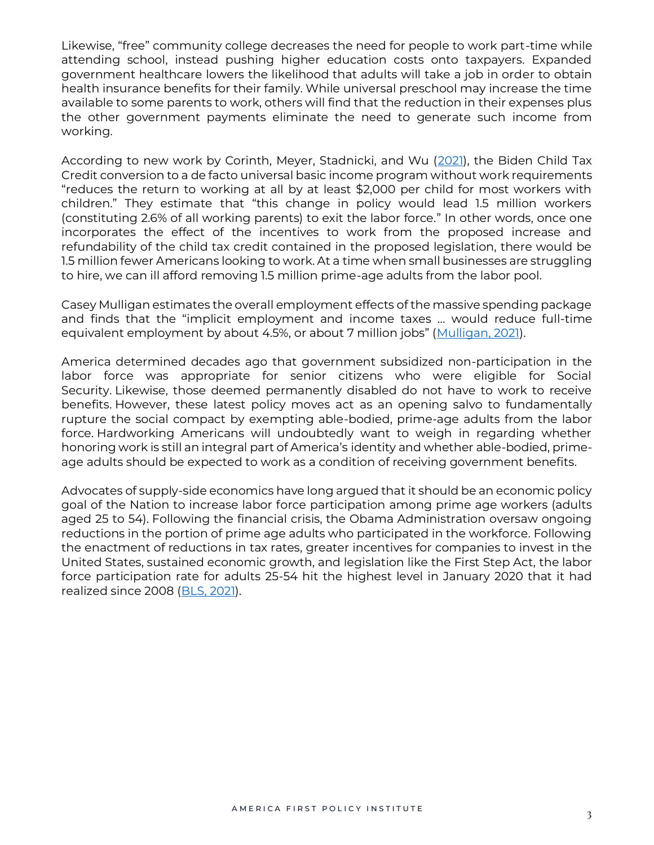Likewise, "free" community college decreases the need for people to work part-time while attending school, instead pushing higher education costs onto taxpayers. Expanded government healthcare lowers the likelihood that adults will take a job in order to obtain health insurance benefits for their family. While universal preschool may increase the time available to some parents to work, others will find that the reduction in their expenses plus the other government payments eliminate the need to generate such income from working.

According to new work by Corinth, Meyer, Stadnicki, and Wu [\(2021\)](https://bfi.uchicago.edu/working-paper/2021-115/), the Biden Child Tax Credit conversion to a de facto universal basic income program without work requirements "reduces the return to working at all by at least \$2,000 per child for most workers with children." They estimate that "this change in policy would lead 1.5 million workers (constituting 2.6% of all working parents) to exit the labor force." In other words, once one incorporates the effect of the incentives to work from the proposed increase and refundability of the child tax credit contained in the proposed legislation, there would be 1.5 million fewer Americans looking to work. At a time when small businesses are struggling to hire, we can ill afford removing 1.5 million prime-age adults from the labor pool.

Casey Mulligan estimates the overall employment effects of the massive spending package and finds that the "implicit employment and income taxes … would reduce full-time equivalent employment by about 4.5%, or about 7 million jobs" ([Mulligan, 2021\)](https://caseymulligan.blogspot.com/2021/10/build-back-betters-hefty-penalties-on.html).

America determined decades ago that government subsidized non-participation in the labor force was appropriate for senior citizens who were eligible for Social Security. Likewise, those deemed permanently disabled do not have to work to receive benefits. However, these latest policy moves act as an opening salvo to fundamentally rupture the social compact by exempting able-bodied, prime-age adults from the labor force. Hardworking Americans will undoubtedly want to weigh in regarding whether honoring work is still an integral part of America's identity and whether able-bodied, primeage adults should be expected to work as a condition of receiving government benefits.

Advocates of supply-side economics have long argued that it should be an economic policy goal of the Nation to increase labor force participation among prime age workers (adults aged 25 to 54). Following the financial crisis, the Obama Administration oversaw ongoing reductions in the portion of prime age adults who participated in the workforce. Following the enactment of reductions in tax rates, greater incentives for companies to invest in the United States, sustained economic growth, and legislation like the First Step Act, the labor force participation rate for adults 25-54 hit the highest level in January 2020 that it had realized since 2008 [\(BLS, 2021\)](https://fred.stlouisfed.org/series/LNS11300060).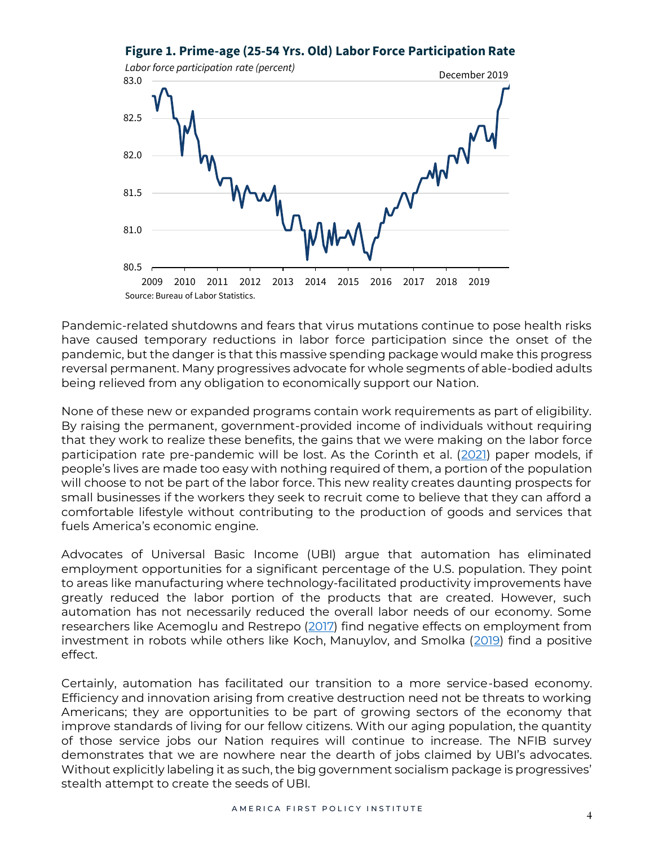#### **Figure 1. Prime-age (25-54 Yrs. Old) Labor Force Participation Rate**



Pandemic-related shutdowns and fears that virus mutations continue to pose health risks have caused temporary reductions in labor force participation since the onset of the pandemic, but the danger is that this massive spending package would make this progress reversal permanent. Many progressives advocate for whole segments of able-bodied adults being relieved from any obligation to economically support our Nation.

None of these new or expanded programs contain work requirements as part of eligibility. By raising the permanent, government-provided income of individuals without requiring that they work to realize these benefits, the gains that we were making on the labor force participation rate pre-pandemic will be lost. As the Corinth et al. [\(2021\)](https://bfi.uchicago.edu/working-paper/2021-115/) paper models, if people's lives are made too easy with nothing required of them, a portion of the population will choose to not be part of the labor force. This new reality creates daunting prospects for small businesses if the workers they seek to recruit come to believe that they can afford a comfortable lifestyle without contributing to the production of goods and services that fuels America's economic engine.

Advocates of Universal Basic Income (UBI) argue that automation has eliminated employment opportunities for a significant percentage of the U.S. population. They point to areas like manufacturing where technology-facilitated productivity improvements have greatly reduced the labor portion of the products that are created. However, such automation has not necessarily reduced the overall labor needs of our economy. Some researchers like Acemoglu and Restrepo [\(2017\)](https://www.nber.org/papers/w23285) find negative effects on employment from investment in robots while others like Koch, Manuylov, and Smolka [\(2019\)](https://papers.ssrn.com/sol3/papers.cfm?abstract_id=3377705) find a positive effect.

Certainly, automation has facilitated our transition to a more service-based economy. Efficiency and innovation arising from creative destruction need not be threats to working Americans; they are opportunities to be part of growing sectors of the economy that improve standards of living for our fellow citizens. With our aging population, the quantity of those service jobs our Nation requires will continue to increase. The NFIB survey demonstrates that we are nowhere near the dearth of jobs claimed by UBI's advocates. Without explicitly labeling it as such, the big government socialism package is progressives' stealth attempt to create the seeds of UBI.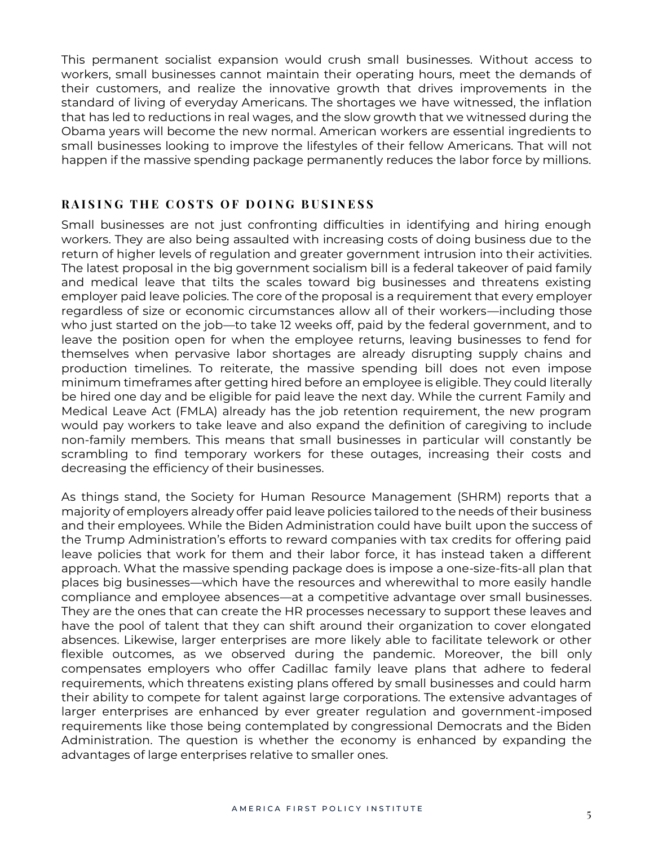This permanent socialist expansion would crush small businesses. Without access to workers, small businesses cannot maintain their operating hours, meet the demands of their customers, and realize the innovative growth that drives improvements in the standard of living of everyday Americans. The shortages we have witnessed, the inflation that has led to reductions in real wages, and the slow growth that we witnessed during the Obama years will become the new normal. American workers are essential ingredients to small businesses looking to improve the lifestyles of their fellow Americans. That will not happen if the massive spending package permanently reduces the labor force by millions.

#### **RAISING THE COSTS OF DOING BUSINESS**

Small businesses are not just confronting difficulties in identifying and hiring enough workers. They are also being assaulted with increasing costs of doing business due to the return of higher levels of regulation and greater government intrusion into their activities. The latest proposal in the big government socialism bill is a federal takeover of paid family and medical leave that tilts the scales toward big businesses and threatens existing employer paid leave policies. The core of the proposal is a requirement that every employer regardless of size or economic circumstances allow all of their workers—including those who just started on the job—to take 12 weeks off, paid by the federal government, and to leave the position open for when the employee returns, leaving businesses to fend for themselves when pervasive labor shortages are already disrupting supply chains and production timelines. To reiterate, the massive spending bill does not even impose minimum timeframes after getting hired before an employee is eligible. They could literally be hired one day and be eligible for paid leave the next day. While the current Family and Medical Leave Act (FMLA) already has the job retention requirement, the new program would pay workers to take leave and also expand the definition of caregiving to include non-family members. This means that small businesses in particular will constantly be scrambling to find temporary workers for these outages, increasing their costs and decreasing the efficiency of their businesses.

As things stand, the Society for Human Resource Management (SHRM) reports that a majority of employers already offer paid leave policies tailored to the needs of their business and their employees. While the Biden Administration could have built upon the success of the Trump Administration's efforts to reward companies with tax credits for offering paid leave policies that work for them and their labor force, it has instead taken a different approach. What the massive spending package does is impose a one-size-fits-all plan that places big businesses—which have the resources and wherewithal to more easily handle compliance and employee absences—at a competitive advantage over small businesses. They are the ones that can create the HR processes necessary to support these leaves and have the pool of talent that they can shift around their organization to cover elongated absences. Likewise, larger enterprises are more likely able to facilitate telework or other flexible outcomes, as we observed during the pandemic. Moreover, the bill only compensates employers who offer Cadillac family leave plans that adhere to federal requirements, which threatens existing plans offered by small businesses and could harm their ability to compete for talent against large corporations. The extensive advantages of larger enterprises are enhanced by ever greater regulation and government-imposed requirements like those being contemplated by congressional Democrats and the Biden Administration. The question is whether the economy is enhanced by expanding the advantages of large enterprises relative to smaller ones.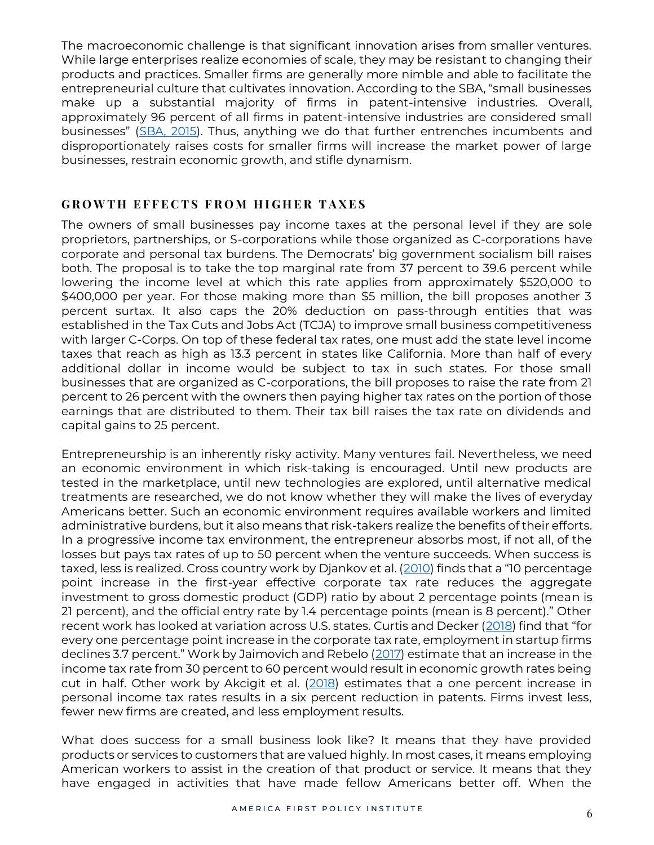The macroeconomic challenge is that significant innovation arises from smaller ventures. While large enterprises realize economies of scale, they may be resistant to changing their products and practices. Smaller firms are generally more nimble and able to facilitate the entrepreneurial culture that cultivates innovation. According to the SBA, "small businesses make up a substantial majority of firms in patent-intensive industries. Overall, approximately 96 percent of all firms in patent-intensive industries are considered small businesses" ([SBA, 2015\)](https://advocacy.sba.gov/2015/06/09/4572/). Thus, anything we do that further entrenches incumbents and disproportionately raises costs for smaller firms will increase the market power of large businesses, restrain economic growth, and stifle dynamism.

# **GROWTH EFFECTS FROM HIGHER TAXES**

The owners of small businesses pay income taxes at the personal level if they are sole proprietors, partnerships, or S-corporations while those organized as C-corporations have corporate and personal tax burdens. The Democrats' big government socialism bill raises both. The proposal is to take the top marginal rate from 37 percent to 39.6 percent while lowering the income level at which this rate applies from approximately \$520,000 to \$400,000 per year. For those making more than \$5 million, the bill proposes another 3 percent surtax. It also caps the 20% deduction on pass-through entities that was established in the Tax Cuts and Jobs Act (TCJA) to improve small business competitiveness with larger C-Corps. On top of these federal tax rates, one must add the state level income taxes that reach as high as 13.3 percent in states like California. More than half of every additional dollar in income would be subject to tax in such states. For those small businesses that are organized as C-corporations, the bill proposes to raise the rate from 21 percent to 26 percent with the owners then paying higher tax rates on the portion of those earnings that are distributed to them. Their tax bill raises the tax rate on dividends and capital gains to 25 percent.

Entrepreneurship is an inherently risky activity. Many ventures fail. Nevertheless, we need an economic environment in which risk-taking is encouraged. Until new products are tested in the marketplace, until new technologies are explored, until alternative medical treatments are researched, we do not know whether they will make the lives of everyday Americans better. Such an economic environment requires available workers and limited administrative burdens, but it also means that risk-takers realize the benefits of their efforts. In a progressive income tax environment, the entrepreneur absorbs most, if not all, of the losses but pays tax rates of up to 50 percent when the venture succeeds. When success is taxed, less is realized. Cross country work by Djankov et al. [\(2010](https://scholar.harvard.edu/shleifer/publications/effect-corporate-taxes-investment-and-entrepreneurship)) finds that a "10 percentage point increase in the first-year effective corporate tax rate reduces the aggregate investment to gross domestic product (GDP) ratio by about 2 percentage points (mean is 21 percent), and the official entry rate by 1.4 percentage points (mean is 8 percent)." Other recent work has looked at variation across U.S. states. Curtis and Decker [\(2018](https://www.federalreserve.gov/econres/feds/files/2018003pap.pdf)) find that "for every one percentage point increase in the corporate tax rate, employment in startup firms declines 3.7 percent." Work by Jaimovich and Rebelo ([2017\)](https://www.journals.uchicago.edu/doi/full/10.1086/689607) estimate that an increase in the income tax rate from 30 percent to 60 percent would result in economic growth rates being cut in half. Other work by Akcigit et al. [\(2018\)](https://www.nber.org/papers/w24982) estimates that a one percent increase in personal income tax rates results in a six percent reduction in patents. Firms invest less, fewer new firms are created, and less employment results.

What does success for a small business look like? It means that they have provided products or services to customers that are valued highly. In most cases, it means employing American workers to assist in the creation of that product or service. It means that they have engaged in activities that have made fellow Americans better off. When the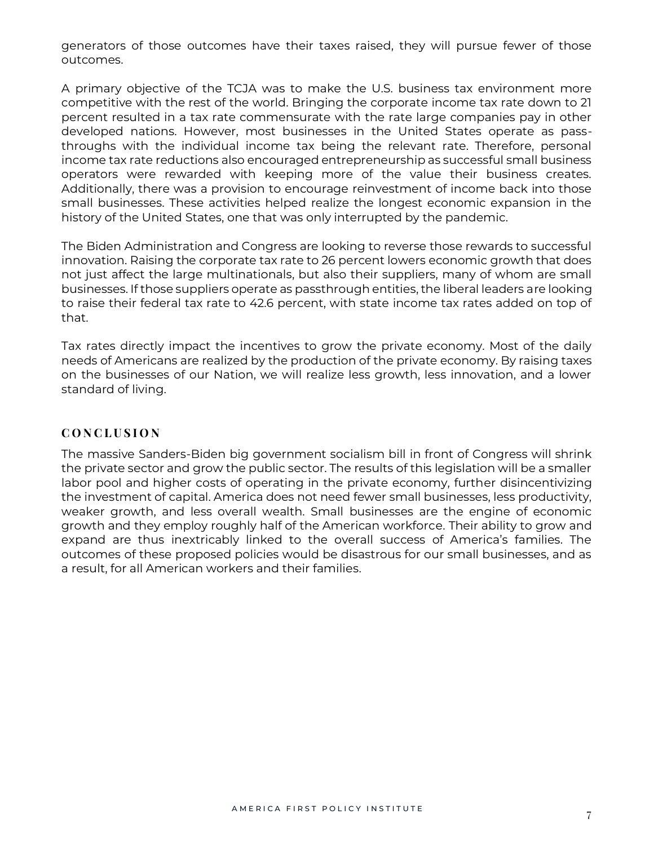generators of those outcomes have their taxes raised, they will pursue fewer of those outcomes.

A primary objective of the TCJA was to make the U.S. business tax environment more competitive with the rest of the world. Bringing the corporate income tax rate down to 21 percent resulted in a tax rate commensurate with the rate large companies pay in other developed nations. However, most businesses in the United States operate as passthroughs with the individual income tax being the relevant rate. Therefore, personal income tax rate reductions also encouraged entrepreneurship as successful small business operators were rewarded with keeping more of the value their business creates. Additionally, there was a provision to encourage reinvestment of income back into those small businesses. These activities helped realize the longest economic expansion in the history of the United States, one that was only interrupted by the pandemic.

The Biden Administration and Congress are looking to reverse those rewards to successful innovation. Raising the corporate tax rate to 26 percent lowers economic growth that does not just affect the large multinationals, but also their suppliers, many of whom are small businesses. If those suppliers operate as passthrough entities, the liberal leaders are looking to raise their federal tax rate to 42.6 percent, with state income tax rates added on top of that.

Tax rates directly impact the incentives to grow the private economy. Most of the daily needs of Americans are realized by the production of the private economy. By raising taxes on the businesses of our Nation, we will realize less growth, less innovation, and a lower standard of living.

## **C O N C L U S I O N**

The massive Sanders-Biden big government socialism bill in front of Congress will shrink the private sector and grow the public sector. The results of this legislation will be a smaller labor pool and higher costs of operating in the private economy, further disincentivizing the investment of capital. America does not need fewer small businesses, less productivity, weaker growth, and less overall wealth. Small businesses are the engine of economic growth and they employ roughly half of the American workforce. Their ability to grow and expand are thus inextricably linked to the overall success of America's families. The outcomes of these proposed policies would be disastrous for our small businesses, and as a result, for all American workers and their families.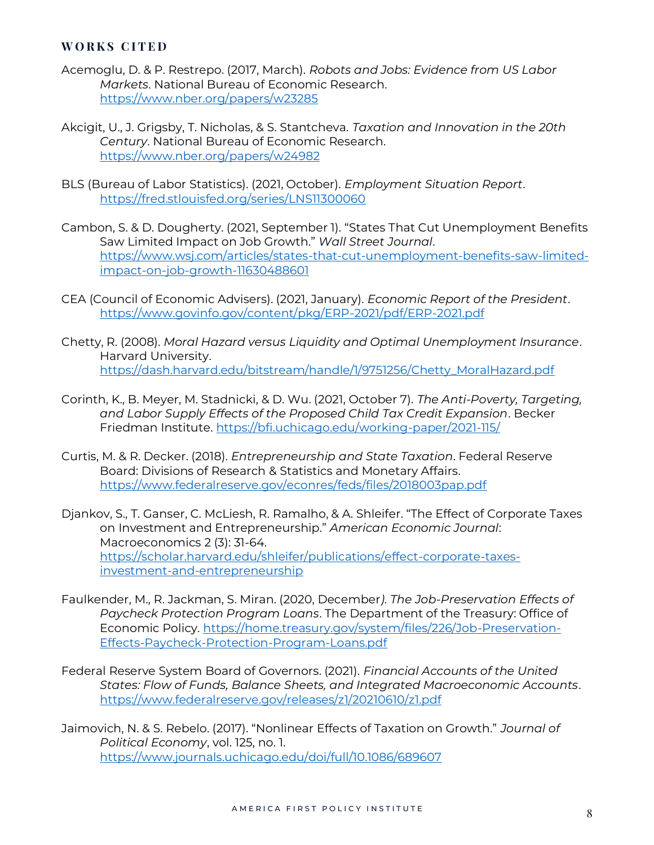#### **W O R K S C I T E D**

- Acemoglu, D. & P. Restrepo. (2017, March). *Robots and Jobs: Evidence from US Labor Markets*. National Bureau of Economic Research. <https://www.nber.org/papers/w23285>
- Akcigit, U., J. Grigsby, T. Nicholas, & S. Stantcheva. *Taxation and Innovation in the 20th Century*. National Bureau of Economic Research. <https://www.nber.org/papers/w24982>
- BLS (Bureau of Labor Statistics). (2021, October). *Employment Situation Report*. <https://fred.stlouisfed.org/series/LNS11300060>
- Cambon, S. & D. Dougherty. (2021, September 1). "States That Cut Unemployment Benefits Saw Limited Impact on Job Growth." *Wall Street Journal*. [https://www.wsj.com/articles/states-that-cut-unemployment-benefits-saw-limited](https://www.wsj.com/articles/states-that-cut-unemployment-benefits-saw-limited-impact-on-job-growth-11630488601)[impact-on-job-growth-11630488601](https://www.wsj.com/articles/states-that-cut-unemployment-benefits-saw-limited-impact-on-job-growth-11630488601)
- CEA (Council of Economic Advisers). (2021, January). *Economic Report of the President*. <https://www.govinfo.gov/content/pkg/ERP-2021/pdf/ERP-2021.pdf>
- Chetty, R. (2008). *Moral Hazard versus Liquidity and Optimal Unemployment Insurance*. Harvard University. [https://dash.harvard.edu/bitstream/handle/1/9751256/Chetty\\_MoralHazard.pdf](https://dash.harvard.edu/bitstream/handle/1/9751256/Chetty_MoralHazard.pdf)
- Corinth, K., B. Meyer, M. Stadnicki, & D. Wu. (2021, October 7). *The Anti-Poverty, Targeting, and Labor Supply Effects of the Proposed Child Tax Credit Expansion*. Becker Friedman Institute.<https://bfi.uchicago.edu/working-paper/2021-115/>
- Curtis, M. & R. Decker. (2018). *Entrepreneurship and State Taxation*. Federal Reserve Board: Divisions of Research & Statistics and Monetary Affairs. <https://www.federalreserve.gov/econres/feds/files/2018003pap.pdf>
- Djankov, S., T. Ganser, C. McLiesh, R. Ramalho, & A. Shleifer. "The Effect of Corporate Taxes on Investment and Entrepreneurship." *American Economic Journal*: Macroeconomics 2 (3): 31-64. [https://scholar.harvard.edu/shleifer/publications/effect-corporate-taxes](https://scholar.harvard.edu/shleifer/publications/effect-corporate-taxes-investment-and-entrepreneurship)[investment-and-entrepreneurship](https://scholar.harvard.edu/shleifer/publications/effect-corporate-taxes-investment-and-entrepreneurship)
- Faulkender, M., R. Jackman, S. Miran. (2020, December*). The Job-Preservation Effects of Paycheck Protection Program Loans*. The Department of the Treasury: Office of Economic Policy. [https://home.treasury.gov/system/files/226/Job-Preservation-](https://home.treasury.gov/system/files/226/Job-Preservation-Effects-Paycheck-Protection-Program-Loans.pdf)[Effects-Paycheck-Protection-Program-Loans.pdf](https://home.treasury.gov/system/files/226/Job-Preservation-Effects-Paycheck-Protection-Program-Loans.pdf)
- Federal Reserve System Board of Governors. (2021). *Financial Accounts of the United States: Flow of Funds, Balance Sheets, and Integrated Macroeconomic Accounts*. <https://www.federalreserve.gov/releases/z1/20210610/z1.pdf>
- Jaimovich, N. & S. Rebelo. (2017). "Nonlinear Effects of Taxation on Growth." *Journal of Political Economy*, vol. 125, no. 1. <https://www.journals.uchicago.edu/doi/full/10.1086/689607>